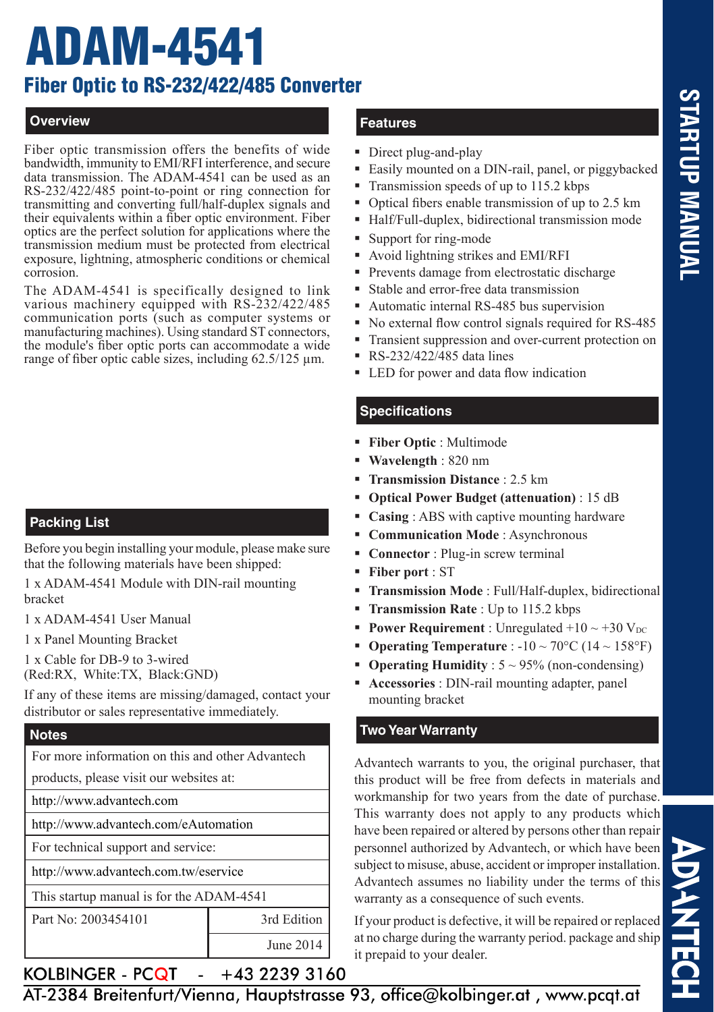# **STARTUP MANUA STARTUP MANUAL**

**ADAHITEC** 

# ADAM-4541 Fiber Optic to RS-232/422/485 Converter

# **Overview**

Fiber optic transmission offers the benefits of wide bandwidth, immunity to EMI/RFI interference, and secure data transmission. The ADAM-4541 can be used as an RS-232/422/485 point-to-point or ring connection for transmitting and converting full/half-duplex signals and their equivalents within a fiber optic environment. Fiber optics are the perfect solution for applications where the transmission medium must be protected from electrical exposure, lightning, atmospheric conditions or chemical corrosion.

The ADAM-4541 is specifically designed to link various machinery equipped with RS-232/422/485 communication ports (such as computer systems or manufacturing machines). Using standard ST connectors, the module's fiber optic ports can accommodate a wide range of fiber optic cable sizes, including 62.5/125 µm.

# **Packing List**

Before you begin installing your module, please make sure that the following materials have been shipped:

1 x ADAM-4541 Module with DIN-rail mounting bracket

1 x ADAM-4541 User Manual

1 x Panel Mounting Bracket

1 x Cable for DB-9 to 3-wired (Red:RX, White:TX, Black:GND)

If any of these items are missing/damaged, contact your distributor or sales representative immediately.

#### **Notes**

For more information on this and other Advantech

products, please visit our websites at:

http://www.advantech.com

http://www.advantech.com/eAutomation

For technical support and service:

http://www.advantech.com.tw/eservice

This startup manual is for the ADAM-4541

Part No: 2003454101 3rd Edition

#### a. +43 2239 3160

# **Features**

- Direct plug-and-play
- Easily mounted on a DIN-rail, panel, or piggybacked
- Transmission speeds of up to 115.2 kbps
- Optical fibers enable transmission of up to 2.5 km
- Half/Full-duplex, bidirectional transmission mode
- Support for ring-mode
- Avoid lightning strikes and EMI/RFI
- Prevents damage from electrostatic discharge
- Stable and error-free data transmission
- Automatic internal RS-485 bus supervision
- No external flow control signals required for RS-485
- Transient suppression and over-current protection on
- RS-232/422/485 data lines
- LED for power and data flow indication

# **Specifications**

- **Fiber Optic** : Multimode
- **Wavelength** : 820 nm
- **Transmission Distance** : 2.5 km
- **Optical Power Budget (attenuation)** : 15 dB
- **Casing** : ABS with captive mounting hardware
- **Communication Mode** : Asynchronous
- **Connector** : Plug-in screw terminal
- **Fiber port** : ST
- **Transmission Mode** : Full/Half-duplex, bidirectional
- **Transmission Rate** : Up to 115.2 kbps
- **Power Requirement** : Unregulated  $+10 \sim +30$  V<sub>DC</sub>
- **Operating Temperature** :  $-10 \sim 70^{\circ}$ C ( $14 \sim 158^{\circ}$ F)
- **Operating Humidity** : 5 ~ 95% (non-condensing)
- **Accessories** : DIN-rail mounting adapter, panel mounting bracket

# **Two Year Warranty**

Advantech warrants to you, the original purchaser, that this product will be free from defects in materials and workmanship for two years from the date of purchase. This warranty does not apply to any products which have been repaired or altered by persons other than repair personnel authorized by Advantech, or which have been subject to misuse, abuse, accident or improper installation. Advantech assumes no liability under the terms of this warranty as a consequence of such events.

If your product is defective, it will be repaired or replaced at no charge during the warranty period. package and ship it prepaid to your dealer.

KOLBINGER - PCQT -  $+43$  2239 3160<br>AT-2384 Breitenfurt/Vienna, Hauptstrasse 93, office@kolbinger.at, www.pcqt.at

June 2014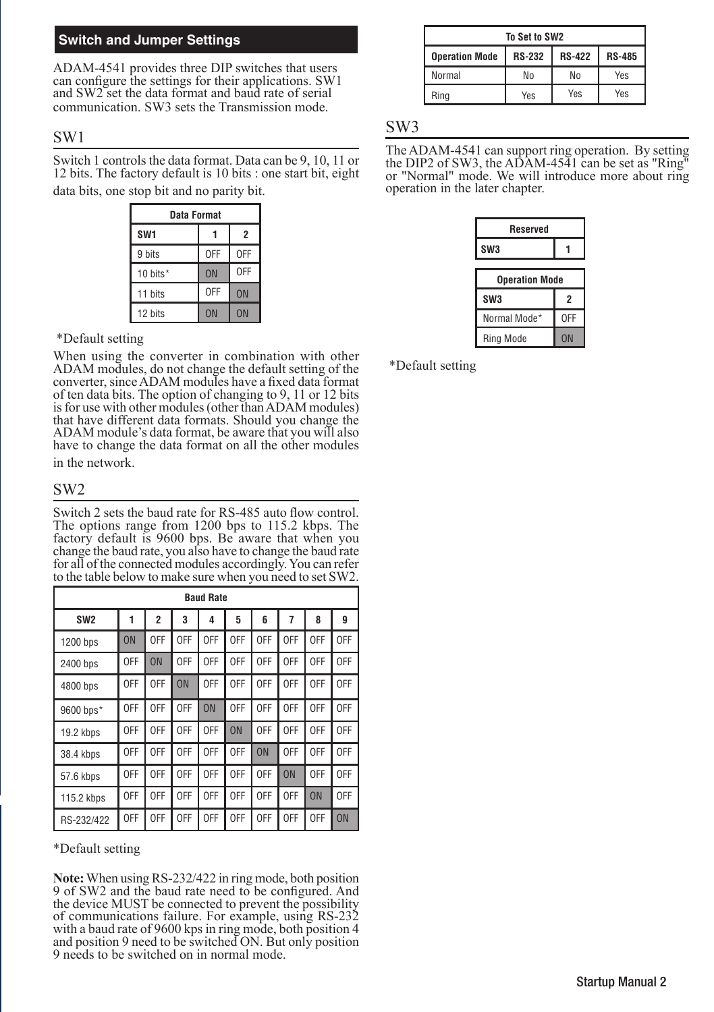#### **Switch and Jumper Settings**

ADAM-4541 provides three DIP switches that users can configure the settings for their applications. SW1 and SW2 set the data format and baud rate of serial communication. SW3 sets the Transmission mode.

#### SW1

Switch 1 controls the data format. Data can be 9, 10, 11 or 12 bits. The factory default is 10 bits : one start bit, eight data bits, one stop bit and no parity bit.

| <b>Data Format</b> |            |                |  |
|--------------------|------------|----------------|--|
| SW <sub>1</sub>    |            | $\overline{2}$ |  |
| 9 bits             | <b>OFF</b> | 0FF            |  |
| 10 bits*           | ON         | <b>OFF</b>     |  |
| 11 bits            | <b>OFF</b> | <b>ON</b>      |  |
| 12 bits            | <b>ON</b>  | ON             |  |

#### \*Default setting

When using the converter in combination with other ADAM modules, do not change the default setting of the converter, since ADAM modules have a fixed data format of ten data bits. The option of changing to 9, 11 or 12 bits is for use with other modules (other than ADAM modules) that have different data formats. Should you change the ADAM module's data format, be aware that you will also have to change the data format on all the other modules in the network.

#### SW2

Switch 2 sets the baud rate for RS-485 auto flow control. The options range from 1200 bps to 115.2 kbps. The factory default is 9600 bps. Be aware that when you change the baud rate, you also have to change the baud rate for all of the connected modules accordingly. You can refer to the table below to make sure when you need to set SW2.

| <b>Baud Rate</b> |     |                |     |            |     |           |                |           |           |
|------------------|-----|----------------|-----|------------|-----|-----------|----------------|-----------|-----------|
| SW <sub>2</sub>  | 1   | $\overline{c}$ | 3   | 4          | 5   | ĥ         | $\overline{7}$ | 8         | 9         |
| 1200 bps         | ON  | 0FF            | 0FF | 0FF        | 0FF | 0FF       | 0FF            | 0FF       | 0FF       |
| 2400 bps         | 0FF | 0 <sub>N</sub> | 0FF | 0FF        | 0FF | 0FF       | 0FF            | 0FF       | 0FF       |
| 4800 bps         | 0FF | 0FF            | ON  | 0FF        | 0FF | 0FF       | 0FF            | 0FF       | 0FF       |
| 9600 bps*        | 0FF | 0FF            | 0FF | ON         | 0FF | 0FF       | 0FF            | 0FF       | 0FF       |
| 19.2 kbps        | 0FF | 0FF            | 0FF | 0FF        | ON  | 0FF       | 0FF            | 0FF       | 0FF       |
| 38.4 kbps        | 0FF | 0FF            | 0FF | 0FF        | 0FF | <b>ON</b> | 0FF            | 0FF       | 0FF       |
| 57.6 kbps        | 0FF | 0FF            | 0FF | 0FF        | 0FF | 0FF       | ON             | 0FF       | 0FF       |
| 115.2 kbps       | 0FF | 0FF            | 0FF | 0FF        | 0FF | 0FF       | 0FF            | <b>ON</b> | 0FF       |
| RS-232/422       | 0FF | 0FF            | 0FF | <b>OFF</b> | 0FF | 0FF       | <b>OFF</b>     | 0FF       | <b>ON</b> |

\*Default setting

**Note:** When using RS-232/422 in ring mode, both position 9 of SW2 and the baud rate need to be configured. And the device MUST be connected to prevent the possibility of communications failure. For example, using RS-232 with a baud rate of 9600 kps in ring mode, both position 4 and position 9 need to be switched ON. But only position 9 needs to be switched on in normal mode.

| To Set to SW2         |               |               |               |  |
|-----------------------|---------------|---------------|---------------|--|
| <b>Operation Mode</b> | <b>RS-232</b> | <b>RS-422</b> | <b>RS-485</b> |  |
| Normal                | Nο            | No            | Yes           |  |
| Ring                  | <b>Yes</b>    | Yes           | Yes           |  |

#### SW3

The ADAM-4541 can support ring operation. By setting the DIP2 of SW3, the ADAM-4541 can be set as "Ring" or "Normal" mode. We will introduce more about ring operation in the later chapter.

| <b>Reserved</b>       |     |  |  |
|-----------------------|-----|--|--|
| SW <sub>3</sub>       |     |  |  |
| <b>Operation Mode</b> |     |  |  |
| SW <sub>3</sub>       | 2   |  |  |
| Normal Mode*          | 0FF |  |  |
| <b>Ring Mode</b>      | ON  |  |  |

\*Default setting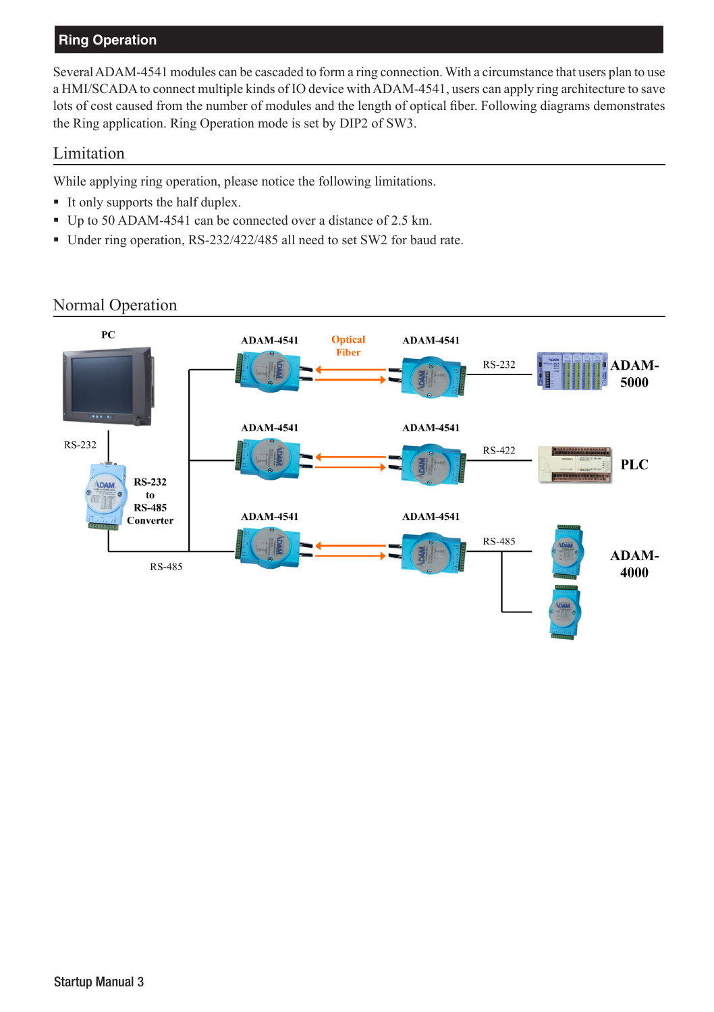# **Ring Operation**

Several ADAM-4541 modules can be cascaded to form a ring connection. With a circumstance that users plan to use a HMI/SCADA to connect multiple kinds of IO device with ADAM-4541, users can apply ring architecture to save lots of cost caused from the number of modules and the length of optical fiber. Following diagrams demonstrates the Ring application. Ring Operation mode is set by DIP2 of SW3.

## Limitation

While applying ring operation, please notice the following limitations.

- It only supports the half duplex.
- Up to 50 ADAM-4541 can be connected over a distance of 2.5 km.
- Under ring operation, RS-232/422/485 all need to set SW2 for baud rate.

#### $PC$ **ADAM-4541 Optical ADAM-4541** Fiber ADAM-**RS-232** 5000 **ADAM-4541 ADAM-4541** RS-232 RS-422 **PLC RS-232** to **RS-485 ADAM-4541 ADAM-4541** Converter **RS-485** ADAM-**RS-485** 4000

# Normal Operation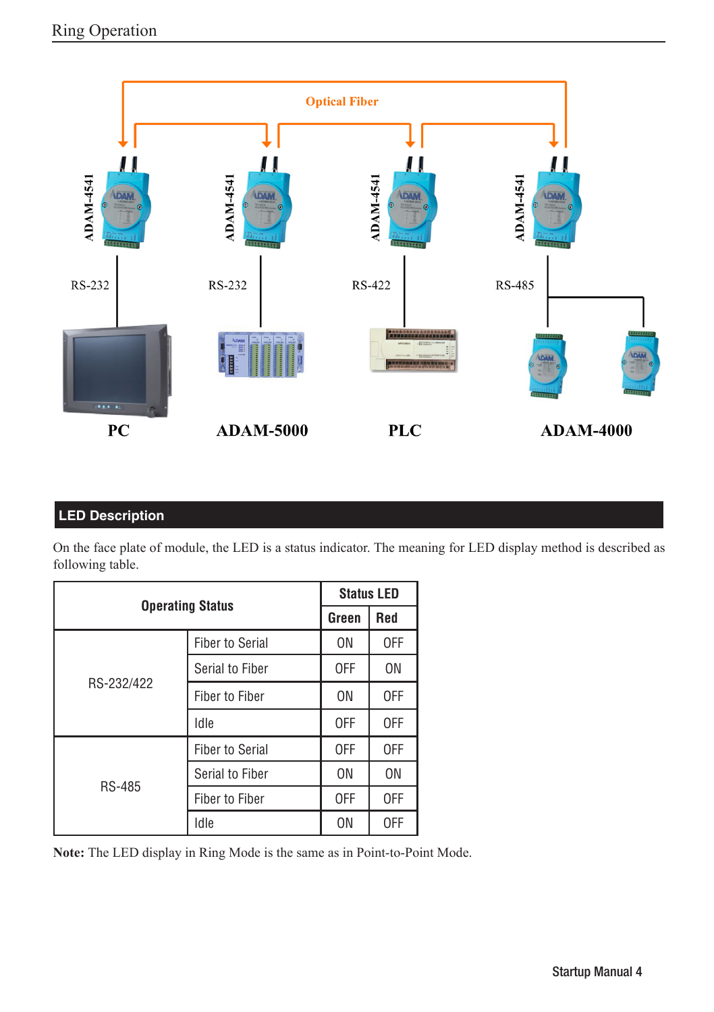

# **LED Description**

On the face plate of module, the LED is a status indicator. The meaning for LED display method is described as following table.

|                         | <b>Status LED</b>      |                |                |
|-------------------------|------------------------|----------------|----------------|
| <b>Operating Status</b> |                        | Green          | Red            |
| RS-232/422              | <b>Fiber to Serial</b> | 0N             | 0FF            |
|                         | Serial to Fiber        | 0FF            | 0 <sub>N</sub> |
|                         | <b>Fiber to Fiber</b>  | 0N             | 0FF            |
|                         | Idle                   | 0FF            | 0FF            |
| <b>RS-485</b>           | <b>Fiber to Serial</b> | 0FF            | 0FF            |
|                         | Serial to Fiber        | 0N             | 0 <sub>N</sub> |
|                         | Fiber to Fiber         | 0FF            | 0FF            |
|                         | Idle                   | 0 <sub>N</sub> | 0FF            |

**Note:** The LED display in Ring Mode is the same as in Point-to-Point Mode.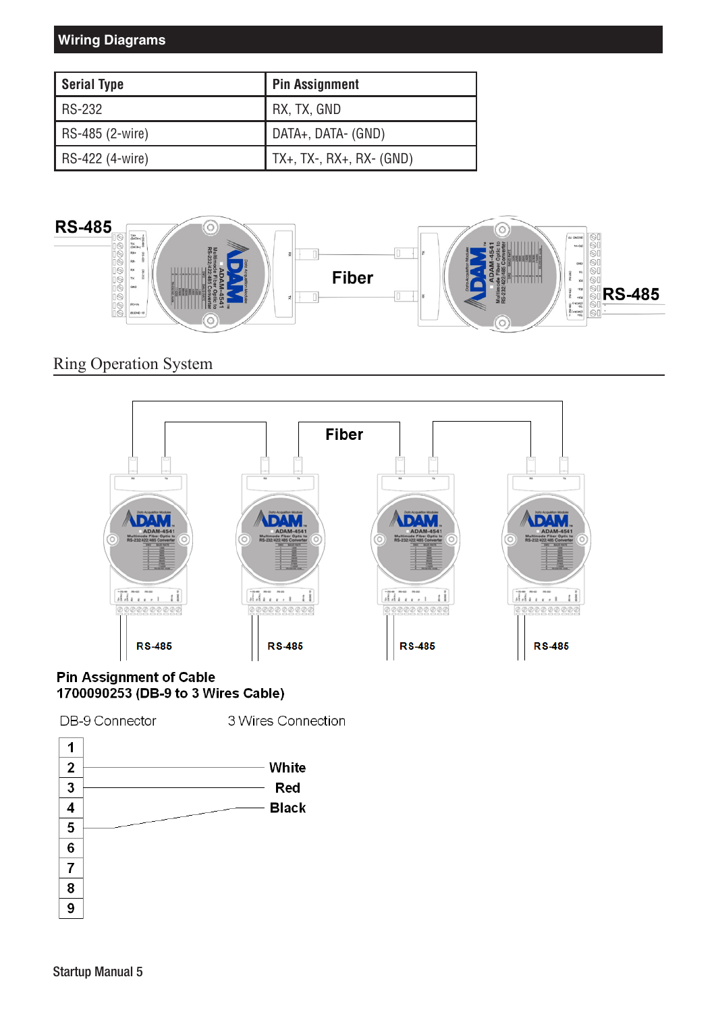# **Wiring Diagrams**

| Serial Type       | <b>Pin Assignment</b>            |
|-------------------|----------------------------------|
| RS-232            | RX, TX, GND                      |
| $RS-485$ (2-wire) | DATA+, DATA- (GND)               |
| RS-422 (4-wire)   | $\vert$ TX+, TX-, RX+, RX- (GND) |



# Ring Operation System



#### **Pin Assignment of Cable** 1700090253 (DB-9 to 3 Wires Cable)

DB-9 Connector

3 Wires Connection